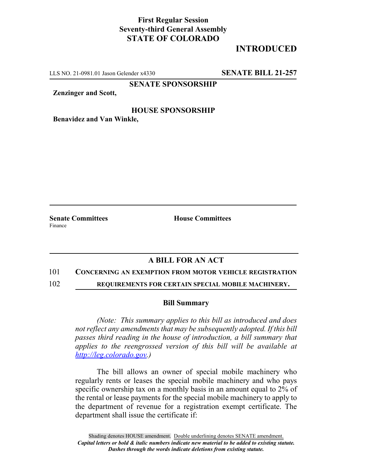## **First Regular Session Seventy-third General Assembly STATE OF COLORADO**

# **INTRODUCED**

LLS NO. 21-0981.01 Jason Gelender x4330 **SENATE BILL 21-257**

**SENATE SPONSORSHIP**

**Zenzinger and Scott,**

### **HOUSE SPONSORSHIP**

**Benavidez and Van Winkle,**

Finance

**Senate Committees House Committees** 

## **A BILL FOR AN ACT**

### 101 **CONCERNING AN EXEMPTION FROM MOTOR VEHICLE REGISTRATION**

102 **REQUIREMENTS FOR CERTAIN SPECIAL MOBILE MACHINERY.**

### **Bill Summary**

*(Note: This summary applies to this bill as introduced and does not reflect any amendments that may be subsequently adopted. If this bill passes third reading in the house of introduction, a bill summary that applies to the reengrossed version of this bill will be available at http://leg.colorado.gov.)*

The bill allows an owner of special mobile machinery who regularly rents or leases the special mobile machinery and who pays specific ownership tax on a monthly basis in an amount equal to 2% of the rental or lease payments for the special mobile machinery to apply to the department of revenue for a registration exempt certificate. The department shall issue the certificate if: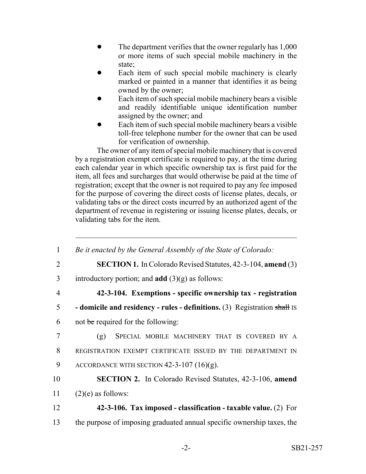- The department verifies that the owner regularly has 1,000 or more items of such special mobile machinery in the state;
- Each item of such special mobile machinery is clearly marked or painted in a manner that identifies it as being owned by the owner;
- Each item of such special mobile machinery bears a visible and readily identifiable unique identification number assigned by the owner; and
- Each item of such special mobile machinery bears a visible toll-free telephone number for the owner that can be used for verification of ownership.

The owner of any item of special mobile machinery that is covered by a registration exempt certificate is required to pay, at the time during each calendar year in which specific ownership tax is first paid for the item, all fees and surcharges that would otherwise be paid at the time of registration; except that the owner is not required to pay any fee imposed for the purpose of covering the direct costs of license plates, decals, or validating tabs or the direct costs incurred by an authorized agent of the department of revenue in registering or issuing license plates, decals, or validating tabs for the item.

| $\mathbf{1}$   | Be it enacted by the General Assembly of the State of Colorado:                  |
|----------------|----------------------------------------------------------------------------------|
| $\overline{2}$ | <b>SECTION 1.</b> In Colorado Revised Statutes, 42-3-104, amend (3)              |
| 3              | introductory portion; and <b>add</b> $(3)(g)$ as follows:                        |
| $\overline{4}$ | 42-3-104. Exemptions - specific ownership tax - registration                     |
| 5              | <b>- domicile and residency - rules - definitions.</b> (3) Registration shall IS |
| 6              | not be required for the following:                                               |
| 7              | SPECIAL MOBILE MACHINERY THAT IS COVERED BY A<br>(g)                             |
| 8              | REGISTRATION EXEMPT CERTIFICATE ISSUED BY THE DEPARTMENT IN                      |
| 9              | ACCORDANCE WITH SECTION $42-3-107$ (16)(g).                                      |
| 10             | <b>SECTION 2.</b> In Colorado Revised Statutes, 42-3-106, amend                  |
| 11             | $(2)(e)$ as follows:                                                             |
| 12             | 42-3-106. Tax imposed - classification - taxable value. $(2)$ For                |
| 13             | the purpose of imposing graduated annual specific ownership taxes, the           |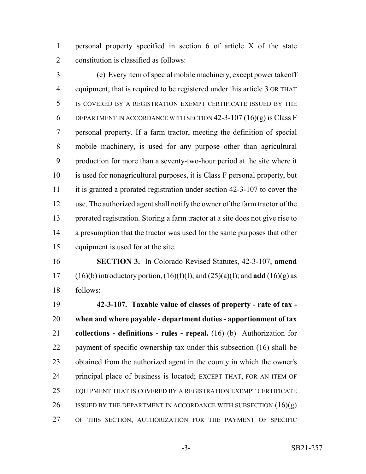personal property specified in section 6 of article X of the state constitution is classified as follows:

 (e) Every item of special mobile machinery, except power takeoff equipment, that is required to be registered under this article 3 OR THAT IS COVERED BY A REGISTRATION EXEMPT CERTIFICATE ISSUED BY THE 6 DEPARTMENT IN ACCORDANCE WITH SECTION  $42-3-107(16)(g)$  is Class F personal property. If a farm tractor, meeting the definition of special mobile machinery, is used for any purpose other than agricultural production for more than a seventy-two-hour period at the site where it is used for nonagricultural purposes, it is Class F personal property, but it is granted a prorated registration under section 42-3-107 to cover the use. The authorized agent shall notify the owner of the farm tractor of the prorated registration. Storing a farm tractor at a site does not give rise to 14 a presumption that the tractor was used for the same purposes that other equipment is used for at the site.

 **SECTION 3.** In Colorado Revised Statutes, 42-3-107, **amend** (16)(b) introductory portion, (16)(f)(I), and (25)(a)(I); and **add** (16)(g) as follows:

 **42-3-107. Taxable value of classes of property - rate of tax - when and where payable - department duties - apportionment of tax collections - definitions - rules - repeal.** (16) (b) Authorization for payment of specific ownership tax under this subsection (16) shall be obtained from the authorized agent in the county in which the owner's principal place of business is located; EXCEPT THAT, FOR AN ITEM OF EQUIPMENT THAT IS COVERED BY A REGISTRATION EXEMPT CERTIFICATE 26 ISSUED BY THE DEPARTMENT IN ACCORDANCE WITH SUBSECTION  $(16)(g)$ OF THIS SECTION, AUTHORIZATION FOR THE PAYMENT OF SPECIFIC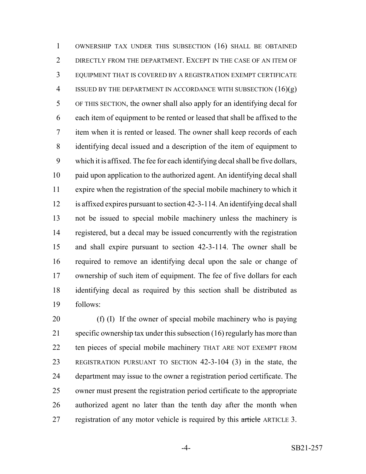OWNERSHIP TAX UNDER THIS SUBSECTION (16) SHALL BE OBTAINED DIRECTLY FROM THE DEPARTMENT. EXCEPT IN THE CASE OF AN ITEM OF EQUIPMENT THAT IS COVERED BY A REGISTRATION EXEMPT CERTIFICATE 4 ISSUED BY THE DEPARTMENT IN ACCORDANCE WITH SUBSECTION  $(16)(g)$  OF THIS SECTION, the owner shall also apply for an identifying decal for each item of equipment to be rented or leased that shall be affixed to the item when it is rented or leased. The owner shall keep records of each identifying decal issued and a description of the item of equipment to which it is affixed. The fee for each identifying decal shall be five dollars, paid upon application to the authorized agent. An identifying decal shall expire when the registration of the special mobile machinery to which it is affixed expires pursuant to section 42-3-114. An identifying decal shall not be issued to special mobile machinery unless the machinery is registered, but a decal may be issued concurrently with the registration and shall expire pursuant to section 42-3-114. The owner shall be required to remove an identifying decal upon the sale or change of ownership of such item of equipment. The fee of five dollars for each identifying decal as required by this section shall be distributed as follows:

 (f) (I) If the owner of special mobile machinery who is paying 21 specific ownership tax under this subsection (16) regularly has more than ten pieces of special mobile machinery THAT ARE NOT EXEMPT FROM REGISTRATION PURSUANT TO SECTION 42-3-104 (3) in the state, the department may issue to the owner a registration period certificate. The owner must present the registration period certificate to the appropriate authorized agent no later than the tenth day after the month when 27 registration of any motor vehicle is required by this article ARTICLE 3.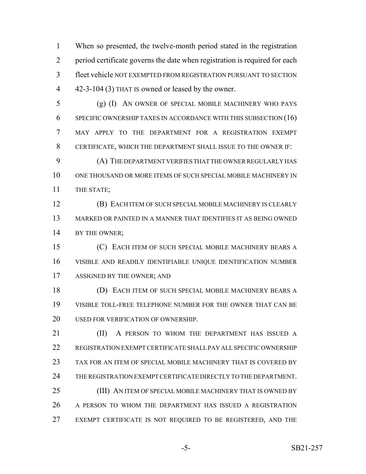When so presented, the twelve-month period stated in the registration period certificate governs the date when registration is required for each fleet vehicle NOT EXEMPTED FROM REGISTRATION PURSUANT TO SECTION 42-3-104 (3) THAT IS owned or leased by the owner.

 (g) (I) AN OWNER OF SPECIAL MOBILE MACHINERY WHO PAYS SPECIFIC OWNERSHIP TAXES IN ACCORDANCE WITH THIS SUBSECTION (16) MAY APPLY TO THE DEPARTMENT FOR A REGISTRATION EXEMPT CERTIFICATE, WHICH THE DEPARTMENT SHALL ISSUE TO THE OWNER IF:

 (A) THE DEPARTMENT VERIFIES THAT THE OWNER REGULARLY HAS ONE THOUSAND OR MORE ITEMS OF SUCH SPECIAL MOBILE MACHINERY IN THE STATE;

 (B) EACH ITEM OF SUCH SPECIAL MOBILE MACHINERY IS CLEARLY MARKED OR PAINTED IN A MANNER THAT IDENTIFIES IT AS BEING OWNED 14 BY THE OWNER;

 (C) EACH ITEM OF SUCH SPECIAL MOBILE MACHINERY BEARS A VISIBLE AND READILY IDENTIFIABLE UNIQUE IDENTIFICATION NUMBER ASSIGNED BY THE OWNER; AND

 (D) EACH ITEM OF SUCH SPECIAL MOBILE MACHINERY BEARS A VISIBLE TOLL-FREE TELEPHONE NUMBER FOR THE OWNER THAT CAN BE 20 USED FOR VERIFICATION OF OWNERSHIP.

**(II)** A PERSON TO WHOM THE DEPARTMENT HAS ISSUED A REGISTRATION EXEMPT CERTIFICATE SHALL PAY ALL SPECIFIC OWNERSHIP TAX FOR AN ITEM OF SPECIAL MOBILE MACHINERY THAT IS COVERED BY THE REGISTRATION EXEMPT CERTIFICATE DIRECTLY TO THE DEPARTMENT. 25 (III) AN ITEM OF SPECIAL MOBILE MACHINERY THAT IS OWNED BY A PERSON TO WHOM THE DEPARTMENT HAS ISSUED A REGISTRATION EXEMPT CERTIFICATE IS NOT REQUIRED TO BE REGISTERED, AND THE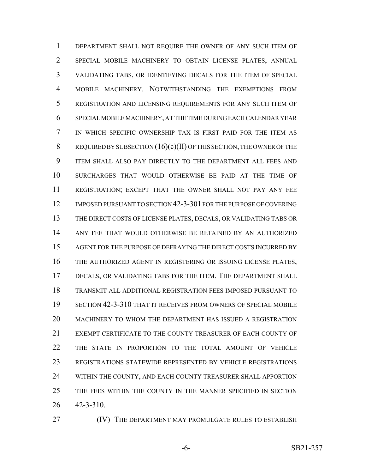DEPARTMENT SHALL NOT REQUIRE THE OWNER OF ANY SUCH ITEM OF SPECIAL MOBILE MACHINERY TO OBTAIN LICENSE PLATES, ANNUAL VALIDATING TABS, OR IDENTIFYING DECALS FOR THE ITEM OF SPECIAL MOBILE MACHINERY. NOTWITHSTANDING THE EXEMPTIONS FROM REGISTRATION AND LICENSING REQUIREMENTS FOR ANY SUCH ITEM OF SPECIAL MOBILE MACHINERY, AT THE TIME DURING EACH CALENDAR YEAR IN WHICH SPECIFIC OWNERSHIP TAX IS FIRST PAID FOR THE ITEM AS REQUIRED BY SUBSECTION (16)(c)(II) OF THIS SECTION, THE OWNER OF THE ITEM SHALL ALSO PAY DIRECTLY TO THE DEPARTMENT ALL FEES AND SURCHARGES THAT WOULD OTHERWISE BE PAID AT THE TIME OF REGISTRATION; EXCEPT THAT THE OWNER SHALL NOT PAY ANY FEE IMPOSED PURSUANT TO SECTION 42-3-301 FOR THE PURPOSE OF COVERING THE DIRECT COSTS OF LICENSE PLATES, DECALS, OR VALIDATING TABS OR ANY FEE THAT WOULD OTHERWISE BE RETAINED BY AN AUTHORIZED AGENT FOR THE PURPOSE OF DEFRAYING THE DIRECT COSTS INCURRED BY THE AUTHORIZED AGENT IN REGISTERING OR ISSUING LICENSE PLATES, DECALS, OR VALIDATING TABS FOR THE ITEM. THE DEPARTMENT SHALL TRANSMIT ALL ADDITIONAL REGISTRATION FEES IMPOSED PURSUANT TO SECTION 42-3-310 THAT IT RECEIVES FROM OWNERS OF SPECIAL MOBILE MACHINERY TO WHOM THE DEPARTMENT HAS ISSUED A REGISTRATION EXEMPT CERTIFICATE TO THE COUNTY TREASURER OF EACH COUNTY OF THE STATE IN PROPORTION TO THE TOTAL AMOUNT OF VEHICLE REGISTRATIONS STATEWIDE REPRESENTED BY VEHICLE REGISTRATIONS WITHIN THE COUNTY, AND EACH COUNTY TREASURER SHALL APPORTION THE FEES WITHIN THE COUNTY IN THE MANNER SPECIFIED IN SECTION 42-3-310.

**IV)** THE DEPARTMENT MAY PROMULGATE RULES TO ESTABLISH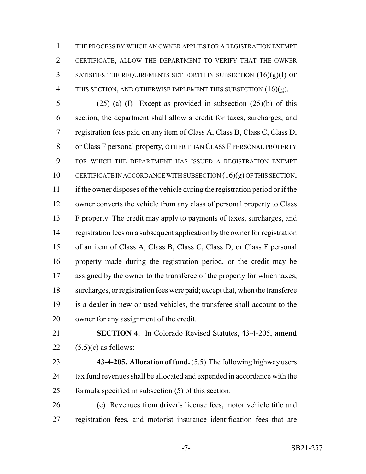THE PROCESS BY WHICH AN OWNER APPLIES FOR A REGISTRATION EXEMPT CERTIFICATE, ALLOW THE DEPARTMENT TO VERIFY THAT THE OWNER 3 SATISFIES THE REQUIREMENTS SET FORTH IN SUBSECTION  $(16)(g)(I)$  OF THIS SECTION, AND OTHERWISE IMPLEMENT THIS SUBSECTION (16)(g).

 (25) (a) (I) Except as provided in subsection (25)(b) of this section, the department shall allow a credit for taxes, surcharges, and registration fees paid on any item of Class A, Class B, Class C, Class D, or Class F personal property, OTHER THAN CLASS F PERSONAL PROPERTY FOR WHICH THE DEPARTMENT HAS ISSUED A REGISTRATION EXEMPT CERTIFICATE IN ACCORDANCE WITH SUBSECTION (16)(g) OF THIS SECTION, if the owner disposes of the vehicle during the registration period or if the owner converts the vehicle from any class of personal property to Class F property. The credit may apply to payments of taxes, surcharges, and registration fees on a subsequent application by the owner for registration of an item of Class A, Class B, Class C, Class D, or Class F personal property made during the registration period, or the credit may be 17 assigned by the owner to the transferee of the property for which taxes, surcharges, or registration fees were paid; except that, when the transferee is a dealer in new or used vehicles, the transferee shall account to the owner for any assignment of the credit.

 **SECTION 4.** In Colorado Revised Statutes, 43-4-205, **amend** 22  $(5.5)(c)$  as follows:

 **43-4-205. Allocation of fund.** (5.5) The following highway users 24 tax fund revenues shall be allocated and expended in accordance with the formula specified in subsection (5) of this section:

 (c) Revenues from driver's license fees, motor vehicle title and registration fees, and motorist insurance identification fees that are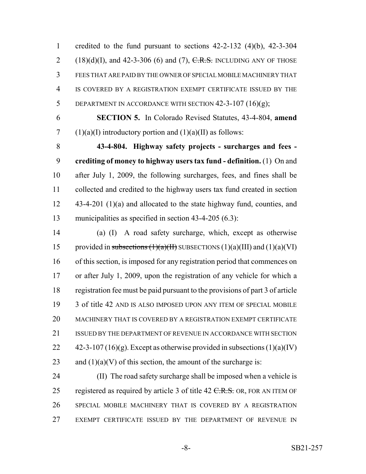credited to the fund pursuant to sections 42-2-132 (4)(b), 42-3-304 2 (18)(d)(I), and 42-3-306 (6) and (7),  $C.R.S.$  INCLUDING ANY OF THOSE FEES THAT ARE PAID BY THE OWNER OF SPECIAL MOBILE MACHINERY THAT IS COVERED BY A REGISTRATION EXEMPT CERTIFICATE ISSUED BY THE DEPARTMENT IN ACCORDANCE WITH SECTION 42-3-107 (16)(g);

 **SECTION 5.** In Colorado Revised Statutes, 43-4-804, **amend** 7 (1)(a)(I) introductory portion and  $(1)(a)(II)$  as follows:

 **43-4-804. Highway safety projects - surcharges and fees - crediting of money to highway users tax fund - definition.** (1) On and after July 1, 2009, the following surcharges, fees, and fines shall be collected and credited to the highway users tax fund created in section 12 43-4-201 (1)(a) and allocated to the state highway fund, counties, and municipalities as specified in section 43-4-205 (6.3):

 (a) (I) A road safety surcharge, which, except as otherwise 15 provided in subsections  $(1)(a)(H)$  SUBSECTIONS  $(1)(a)(III)$  and  $(1)(a)(VI)$  of this section, is imposed for any registration period that commences on or after July 1, 2009, upon the registration of any vehicle for which a registration fee must be paid pursuant to the provisions of part 3 of article 3 of title 42 AND IS ALSO IMPOSED UPON ANY ITEM OF SPECIAL MOBILE MACHINERY THAT IS COVERED BY A REGISTRATION EXEMPT CERTIFICATE 21 ISSUED BY THE DEPARTMENT OF REVENUE IN ACCORDANCE WITH SECTION  $42-3-107(16)(g)$ . Except as otherwise provided in subsections  $(1)(a)(IV)$ 23 and  $(1)(a)(V)$  of this section, the amount of the surcharge is:

 (II) The road safety surcharge shall be imposed when a vehicle is 25 registered as required by article 3 of title  $42 \text{ C.R.S.}$  OR, FOR AN ITEM OF SPECIAL MOBILE MACHINERY THAT IS COVERED BY A REGISTRATION EXEMPT CERTIFICATE ISSUED BY THE DEPARTMENT OF REVENUE IN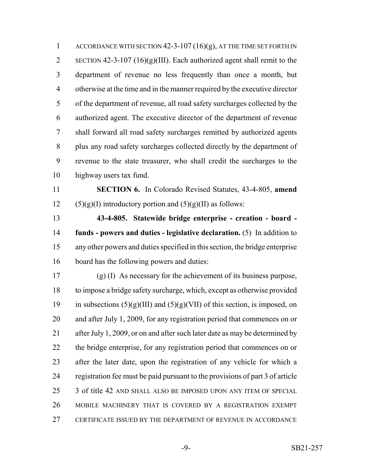1 ACCORDANCE WITH SECTION 42-3-107 (16)(g), AT THE TIME SET FORTH IN 2 SECTION 42-3-107 (16)(g)(III). Each authorized agent shall remit to the department of revenue no less frequently than once a month, but otherwise at the time and in the manner required by the executive director of the department of revenue, all road safety surcharges collected by the authorized agent. The executive director of the department of revenue shall forward all road safety surcharges remitted by authorized agents plus any road safety surcharges collected directly by the department of revenue to the state treasurer, who shall credit the surcharges to the highway users tax fund.

 **SECTION 6.** In Colorado Revised Statutes, 43-4-805, **amend** 12 (5)(g)(I) introductory portion and  $(5)(g)(II)$  as follows:

 **43-4-805. Statewide bridge enterprise - creation - board - funds - powers and duties - legislative declaration.** (5) In addition to any other powers and duties specified in this section, the bridge enterprise board has the following powers and duties:

 (g) (I) As necessary for the achievement of its business purpose, to impose a bridge safety surcharge, which, except as otherwise provided 19 in subsections  $(5)(g)(III)$  and  $(5)(g)(VII)$  of this section, is imposed, on and after July 1, 2009, for any registration period that commences on or 21 after July 1, 2009, or on and after such later date as may be determined by 22 the bridge enterprise, for any registration period that commences on or after the later date, upon the registration of any vehicle for which a registration fee must be paid pursuant to the provisions of part 3 of article 3 of title 42 AND SHALL ALSO BE IMPOSED UPON ANY ITEM OF SPECIAL MOBILE MACHINERY THAT IS COVERED BY A REGISTRATION EXEMPT CERTIFICATE ISSUED BY THE DEPARTMENT OF REVENUE IN ACCORDANCE